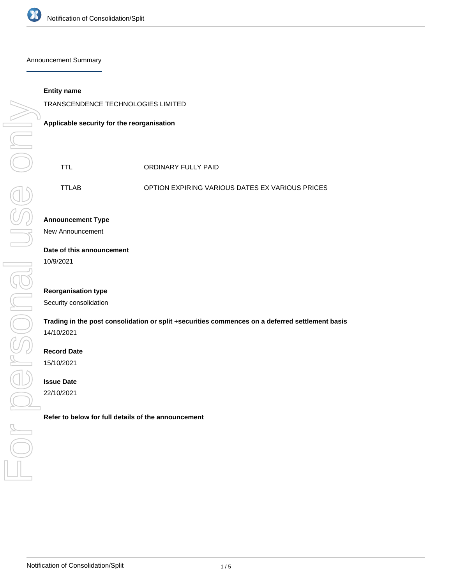

Announcement Summary

#### **Entity name**

TRANSCENDENCE TECHNOLOGIES LIMITED

**Applicable security for the reorganisation**

TTLAB OPTION EXPIRING VARIOUS DATES EX VARIOUS PRICES

### **Announcement Type**

New Announcement

# **Date of this announcement**

10/9/2021

### **Reorganisation type**

Security consolidation

# **Trading in the post consolidation or split +securities commences on a deferred settlement basis** 14/10/2021

### **Record Date**

15/10/2021

#### **Issue Date**

22/10/2021

**Refer to below for full details of the announcement**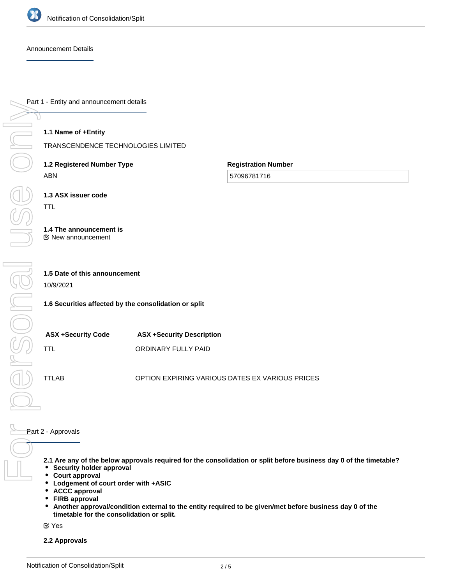

Breonal

Announcement Details

Part 1 - Entity and announcement details

### **1.1 Name of +Entity**

TRANSCENDENCE TECHNOLOGIES LIMITED

**1.2 Registered Number Type** ABN

**Registration Number**

57096781716

**1.3 ASX issuer code** TTL

**1.4 The announcement is** New announcement

# **1.5 Date of this announcement**

10/9/2021

**1.6 Securities affected by the consolidation or split**

| <b>ASX +Security Code</b> | <b>ASX +Security Description</b> |
|---------------------------|----------------------------------|
| TTL.                      | ORDINARY FULLY PAID              |

TTLAB OPTION EXPIRING VARIOUS DATES EX VARIOUS PRICES

Part 2 - Approvals For personal use only

- **2.1 Are any of the below approvals required for the consolidation or split before business day 0 of the timetable?**
- **Security holder approval**
- **Court approval**  $\bullet$
- $\bullet$ **Lodgement of court order with +ASIC**
- $\bullet$ **ACCC approval**
- $\bullet$ **FIRB approval**
- $\bullet$ **Another approval/condition external to the entity required to be given/met before business day 0 of the timetable for the consolidation or split.**

Yes

**2.2 Approvals**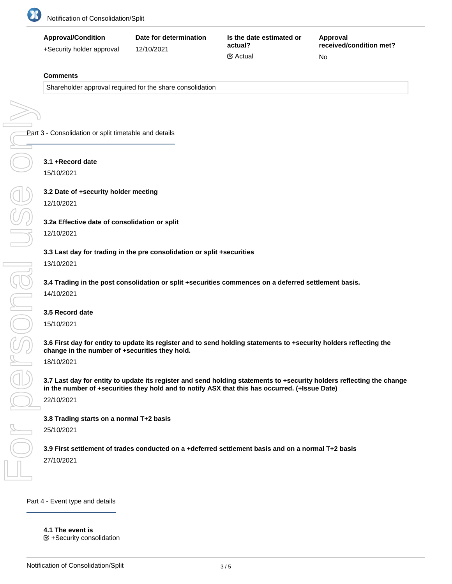

| <b>Approval/Condition</b> | Date for determination | Is the date estimated or | Approval                |
|---------------------------|------------------------|--------------------------|-------------------------|
| +Security holder approval | 12/10/2021             | actual?                  | received/condition met? |
|                           |                        | $\mathfrak{S}$ Actual    | No                      |

#### **Comments**

Shareholder approval required for the share consolidation

Part 3 - Consolidation or split timetable and details For personal use only

### **3.1 +Record date**

15/10/2021

**3.2 Date of +security holder meeting** 12/10/2021

### **3.2a Effective date of consolidation or split**

#### 12/10/2021

#### **3.3 Last day for trading in the pre consolidation or split +securities**

13/10/2021

**3.4 Trading in the post consolidation or split +securities commences on a deferred settlement basis.**

14/10/2021

### **3.5 Record date**

15/10/2021

Dersonal

**3.6 First day for entity to update its register and to send holding statements to +security holders reflecting the change in the number of +securities they hold.**

18/10/2021

**3.7 Last day for entity to update its register and send holding statements to +security holders reflecting the change in the number of +securities they hold and to notify ASX that this has occurred. (+Issue Date)**

22/10/2021

#### **3.8 Trading starts on a normal T+2 basis**

25/10/2021

**3.9 First settlement of trades conducted on a +deferred settlement basis and on a normal T+2 basis** 27/10/2021

**4.1a Consolidation ratio: the +securities will be consolidated on the basis that every**

Part 4 - Event type and details

**4.1 The event is**

+Security consolidation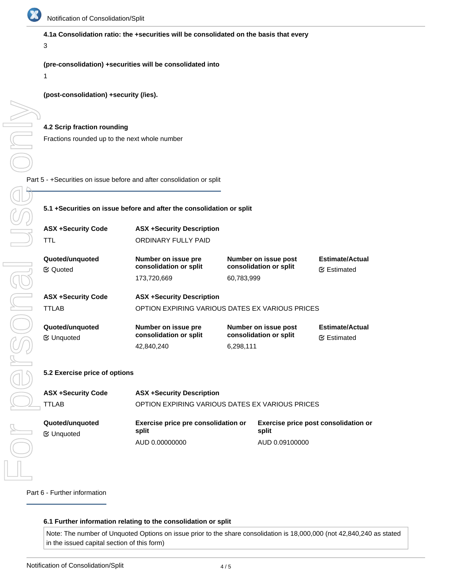

# **4.1a Consolidation ratio: the +securities will be consolidated on the basis that every**

# 3

1

# **(pre-consolidation) +securities will be consolidated into**

# **(post-consolidation) +security (/ies).**

### **4.2 Scrip fraction rounding**

Fractions rounded up to the next whole number

Part 5 - +Securities on issue before and after consolidation or split

# **5.1 +Securities on issue before and after the consolidation or split**

| <b>ASX +Security Code</b><br>TTL      | <b>ASX +Security Description</b><br>ORDINARY FULLY PAID                             |                                                              |                                             |
|---------------------------------------|-------------------------------------------------------------------------------------|--------------------------------------------------------------|---------------------------------------------|
| Quoted/unguoted<br><b>E</b> Quoted    | Number on issue pre<br>consolidation or split<br>173,720,669                        | Number on issue post<br>consolidation or split<br>60,783,999 | <b>Estimate/Actual</b><br><b></b> Estimated |
| <b>ASX +Security Code</b><br>TTLAB    | <b>ASX +Security Description</b><br>OPTION EXPIRING VARIOUS DATES EX VARIOUS PRICES |                                                              |                                             |
| Quoted/unguoted<br><b></b> ∉ Unquoted | Number on issue pre<br>consolidation or split<br>42,840,240                         | Number on issue post<br>consolidation or split<br>6,298,111  | <b>Estimate/Actual</b><br><b></b> Estimated |
| 5.2 Exercise price of options         |                                                                                     |                                                              |                                             |

| <b>ASX +Security Code</b>           | <b>ASX +Security Description</b>                |                                               |  |
|-------------------------------------|-------------------------------------------------|-----------------------------------------------|--|
| TTLAB                               | OPTION EXPIRING VARIOUS DATES EX VARIOUS PRICES |                                               |  |
| Quoted/unguoted<br><b></b> ⊎nquoted | Exercise price pre consolidation or<br>split    | Exercise price post consolidation or<br>split |  |
|                                     | AUD 0.00000000                                  | AUD 0.09100000                                |  |

Part 6 - Further information

# **6.1 Further information relating to the consolidation or split**

Note: The number of Unquoted Options on issue prior to the share consolidation is 18,000,000 (not 42,840,240 as stated in the issued capital section of this form)